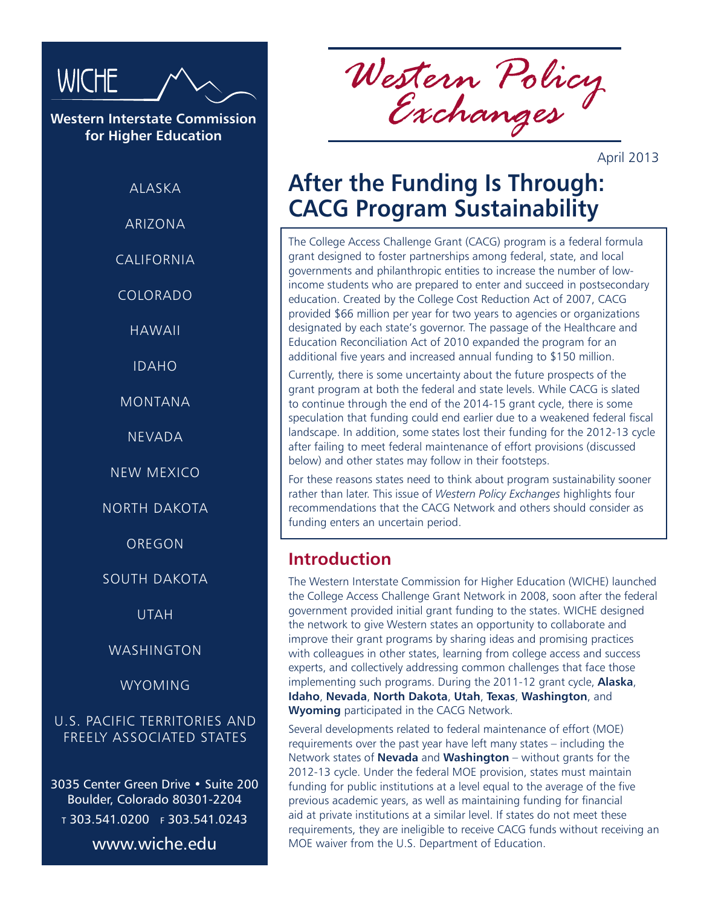

**Western Interstate Commission for Higher Education**

**ALASKA** 

ARIZONA

CALIFORNIA

COLORADO

HAWAII

IDAHO

MONTANA

NEVADA

NEW MEXICO

NORTH DAKOTA

OREGON

SOUTH DAKOTA

UTAH

WASHINGTON

WYOMING

#### U.S. PACIFIC TERRITORIES AND FREELY ASSOCIATED STATES

3035 Center Green Drive • Suite 200 Boulder, Colorado 80301-2204 <sup>t</sup> 303.541.0200 f 303.541.0243 www.wiche.edu

*Western Policy Exchanges*

April 2013

# **After the Funding Is Through: CACG Program Sustainability**

The College Access Challenge Grant (CACG) program is a federal formula grant designed to foster partnerships among federal, state, and local governments and philanthropic entities to increase the number of lowincome students who are prepared to enter and succeed in postsecondary education. Created by the College Cost Reduction Act of 2007, CACG provided \$66 million per year for two years to agencies or organizations designated by each state's governor. The passage of the Healthcare and Education Reconciliation Act of 2010 expanded the program for an additional five years and increased annual funding to \$150 million.

Currently, there is some uncertainty about the future prospects of the grant program at both the federal and state levels. While CACG is slated to continue through the end of the 2014-15 grant cycle, there is some speculation that funding could end earlier due to a weakened federal fiscal landscape. In addition, some states lost their funding for the 2012-13 cycle after failing to meet federal maintenance of effort provisions (discussed below) and other states may follow in their footsteps.

For these reasons states need to think about program sustainability sooner rather than later. This issue of *Western Policy Exchanges* highlights four recommendations that the CACG Network and others should consider as funding enters an uncertain period.

#### **Introduction**

The Western Interstate Commission for Higher Education (WICHE) launched the College Access Challenge Grant Network in 2008, soon after the federal government provided initial grant funding to the states. WICHE designed the network to give Western states an opportunity to collaborate and improve their grant programs by sharing ideas and promising practices with colleagues in other states, learning from college access and success experts, and collectively addressing common challenges that face those implementing such programs. During the 2011-12 grant cycle, **Alaska**, **Idaho**, **Nevada**, **North Dakota**, **Utah**, **Texas**, **Washington**, and **Wyoming** participated in the CACG Network.

Several developments related to federal maintenance of effort (MOE) requirements over the past year have left many states – including the Network states of **Nevada** and **Washington** – without grants for the 2012-13 cycle. Under the federal MOE provision, states must maintain funding for public institutions at a level equal to the average of the five previous academic years, as well as maintaining funding for financial aid at private institutions at a similar level. If states do not meet these requirements, they are ineligible to receive CACG funds without receiving an MOE waiver from the U.S. Department of Education.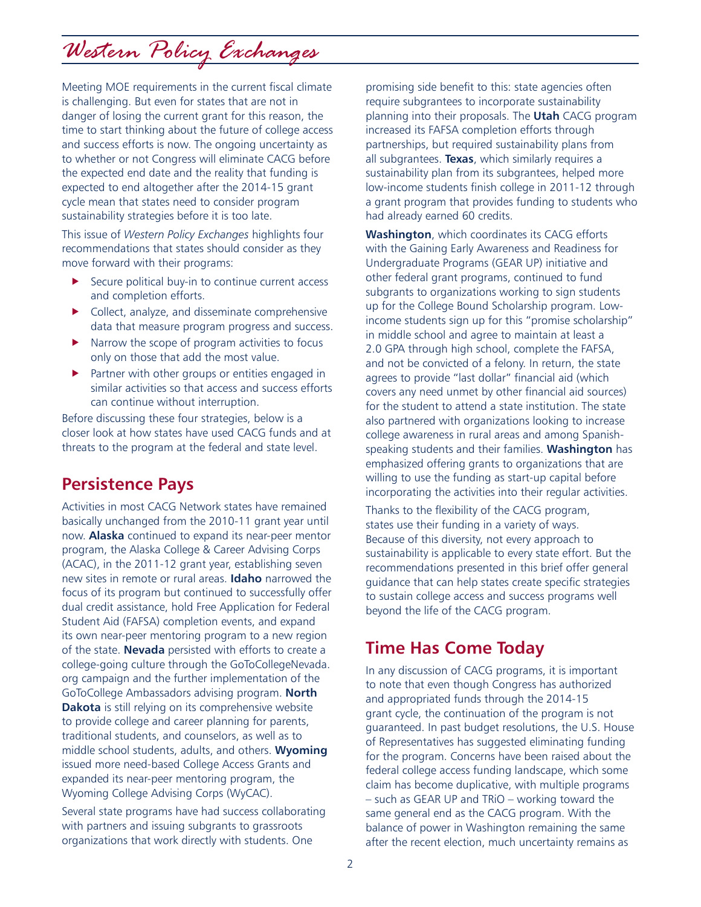*Western Policy Exchanges*

Meeting MOE requirements in the current fiscal climate is challenging. But even for states that are not in danger of losing the current grant for this reason, the time to start thinking about the future of college access and success efforts is now. The ongoing uncertainty as to whether or not Congress will eliminate CACG before the expected end date and the reality that funding is expected to end altogether after the 2014-15 grant cycle mean that states need to consider program sustainability strategies before it is too late.

This issue of *Western Policy Exchanges* highlights four recommendations that states should consider as they move forward with their programs:

- $\blacktriangleright$  Secure political buy-in to continue current access and completion efforts.
- Collect, analyze, and disseminate comprehensive data that measure program progress and success.
- $\blacktriangleright$  Narrow the scope of program activities to focus only on those that add the most value.
- Partner with other groups or entities engaged in similar activities so that access and success efforts can continue without interruption.

Before discussing these four strategies, below is a closer look at how states have used CACG funds and at threats to the program at the federal and state level.

#### **Persistence Pays**

Activities in most CACG Network states have remained basically unchanged from the 2010-11 grant year until now. **Alaska** continued to expand its near-peer mentor program, the Alaska College & Career Advising Corps (ACAC), in the 2011-12 grant year, establishing seven new sites in remote or rural areas. **Idaho** narrowed the focus of its program but continued to successfully offer dual credit assistance, hold Free Application for Federal Student Aid (FAFSA) completion events, and expand its own near-peer mentoring program to a new region of the state. **Nevada** persisted with efforts to create a college-going culture through the GoToCollegeNevada. org campaign and the further implementation of the GoToCollege Ambassadors advising program. **North Dakota** is still relying on its comprehensive website to provide college and career planning for parents, traditional students, and counselors, as well as to middle school students, adults, and others. **Wyoming** issued more need-based College Access Grants and expanded its near-peer mentoring program, the Wyoming College Advising Corps (WyCAC).

Several state programs have had success collaborating with partners and issuing subgrants to grassroots organizations that work directly with students. One

promising side benefit to this: state agencies often require subgrantees to incorporate sustainability planning into their proposals. The **Utah** CACG program increased its FAFSA completion efforts through partnerships, but required sustainability plans from all subgrantees. **Texas**, which similarly requires a sustainability plan from its subgrantees, helped more low-income students finish college in 2011-12 through a grant program that provides funding to students who had already earned 60 credits.

**Washington**, which coordinates its CACG efforts with the Gaining Early Awareness and Readiness for Undergraduate Programs (GEAR UP) initiative and other federal grant programs, continued to fund subgrants to organizations working to sign students up for the College Bound Scholarship program. Lowincome students sign up for this "promise scholarship" in middle school and agree to maintain at least a 2.0 GPA through high school, complete the FAFSA, and not be convicted of a felony. In return, the state agrees to provide "last dollar" financial aid (which covers any need unmet by other financial aid sources) for the student to attend a state institution. The state also partnered with organizations looking to increase college awareness in rural areas and among Spanishspeaking students and their families. **Washington** has emphasized offering grants to organizations that are willing to use the funding as start-up capital before incorporating the activities into their regular activities.

Thanks to the flexibility of the CACG program, states use their funding in a variety of ways. Because of this diversity, not every approach to sustainability is applicable to every state effort. But the recommendations presented in this brief offer general guidance that can help states create specific strategies to sustain college access and success programs well beyond the life of the CACG program.

#### **Time Has Come Today**

In any discussion of CACG programs, it is important to note that even though Congress has authorized and appropriated funds through the 2014-15 grant cycle, the continuation of the program is not guaranteed. In past budget resolutions, the U.S. House of Representatives has suggested eliminating funding for the program. Concerns have been raised about the federal college access funding landscape, which some claim has become duplicative, with multiple programs – such as GEAR UP and TRiO – working toward the same general end as the CACG program. With the balance of power in Washington remaining the same after the recent election, much uncertainty remains as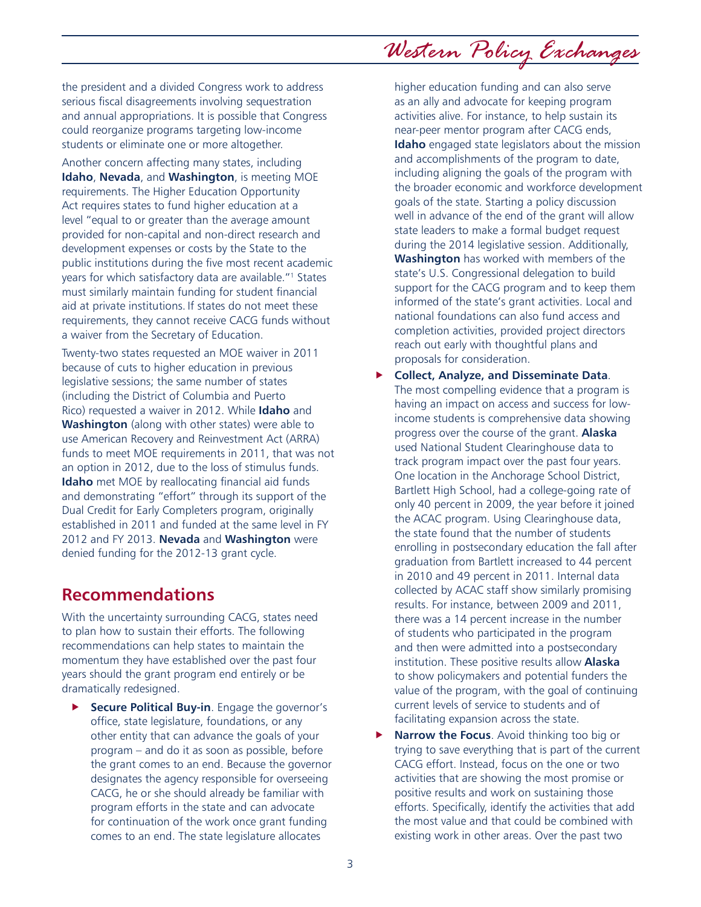*Western Policy Exchanges*

the president and a divided Congress work to address serious fiscal disagreements involving sequestration and annual appropriations. It is possible that Congress could reorganize programs targeting low-income students or eliminate one or more altogether.

Another concern affecting many states, including **Idaho**, **Nevada**, and **Washington**, is meeting MOE requirements. The Higher Education Opportunity Act requires states to fund higher education at a level "equal to or greater than the average amount provided for non-capital and non-direct research and development expenses or costs by the State to the public institutions during the five most recent academic years for which satisfactory data are available."1 States must similarly maintain funding for student financial aid at private institutions. If states do not meet these requirements, they cannot receive CACG funds without a waiver from the Secretary of Education.

Twenty-two states requested an MOE waiver in 2011 because of cuts to higher education in previous legislative sessions; the same number of states (including the District of Columbia and Puerto Rico) requested a waiver in 2012. While **Idaho** and **Washington** (along with other states) were able to use American Recovery and Reinvestment Act (ARRA) funds to meet MOE requirements in 2011, that was not an option in 2012, due to the loss of stimulus funds. **Idaho** met MOE by reallocating financial aid funds and demonstrating "effort" through its support of the Dual Credit for Early Completers program, originally established in 2011 and funded at the same level in FY 2012 and FY 2013. **Nevada** and **Washington** were denied funding for the 2012-13 grant cycle.

### **Recommendations**

With the uncertainty surrounding CACG, states need to plan how to sustain their efforts. The following recommendations can help states to maintain the momentum they have established over the past four years should the grant program end entirely or be dramatically redesigned.

**Secure Political Buy-in**. Engage the governor's office, state legislature, foundations, or any other entity that can advance the goals of your program – and do it as soon as possible, before the grant comes to an end. Because the governor designates the agency responsible for overseeing CACG, he or she should already be familiar with program efforts in the state and can advocate for continuation of the work once grant funding comes to an end. The state legislature allocates

higher education funding and can also serve as an ally and advocate for keeping program activities alive. For instance, to help sustain its near-peer mentor program after CACG ends, **Idaho** engaged state legislators about the mission and accomplishments of the program to date, including aligning the goals of the program with the broader economic and workforce development goals of the state. Starting a policy discussion well in advance of the end of the grant will allow state leaders to make a formal budget request during the 2014 legislative session. Additionally, **Washington** has worked with members of the state's U.S. Congressional delegation to build support for the CACG program and to keep them informed of the state's grant activities. Local and national foundations can also fund access and completion activities, provided project directors reach out early with thoughtful plans and proposals for consideration.

- f **Collect, Analyze, and Disseminate Data**. The most compelling evidence that a program is having an impact on access and success for lowincome students is comprehensive data showing progress over the course of the grant. **Alaska** used National Student Clearinghouse data to track program impact over the past four years. One location in the Anchorage School District, Bartlett High School, had a college-going rate of only 40 percent in 2009, the year before it joined the ACAC program. Using Clearinghouse data, the state found that the number of students enrolling in postsecondary education the fall after graduation from Bartlett increased to 44 percent in 2010 and 49 percent in 2011. Internal data collected by ACAC staff show similarly promising results. For instance, between 2009 and 2011, there was a 14 percent increase in the number of students who participated in the program and then were admitted into a postsecondary institution. These positive results allow **Alaska** to show policymakers and potential funders the value of the program, with the goal of continuing current levels of service to students and of facilitating expansion across the state.
- **Narrow the Focus**. Avoid thinking too big or trying to save everything that is part of the current CACG effort. Instead, focus on the one or two activities that are showing the most promise or positive results and work on sustaining those efforts. Specifically, identify the activities that add the most value and that could be combined with existing work in other areas. Over the past two